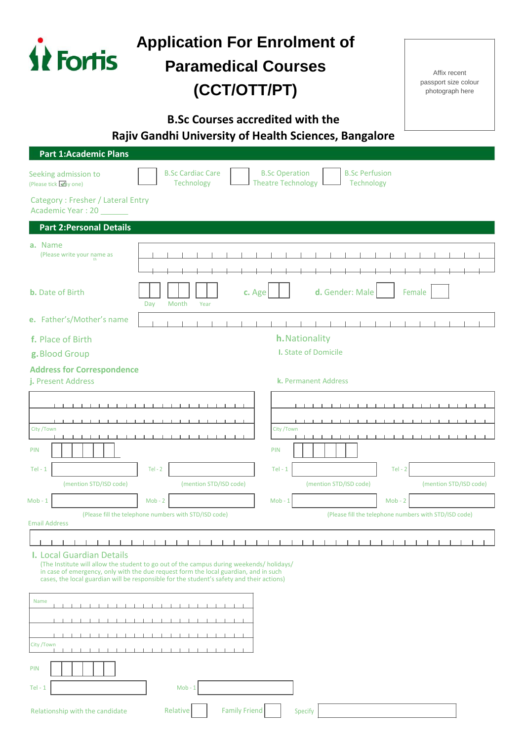| <i><b>Fortis</b></i>                                    | <b>Application For Enrolment of</b><br><b>Paramedical Courses</b><br>(CCT/OTT/PT)                                                                                                                                                                                             |                                                                                           | Affix recent<br>passport size colour<br>photograph here |  |
|---------------------------------------------------------|-------------------------------------------------------------------------------------------------------------------------------------------------------------------------------------------------------------------------------------------------------------------------------|-------------------------------------------------------------------------------------------|---------------------------------------------------------|--|
|                                                         | <b>B.Sc Courses accredited with the</b>                                                                                                                                                                                                                                       | Rajiv Gandhi University of Health Sciences, Bangalore                                     |                                                         |  |
| <b>Part 1:Academic Plans</b>                            |                                                                                                                                                                                                                                                                               |                                                                                           |                                                         |  |
| Seeking admission to<br>(Please tick one)               | <b>B.Sc Cardiac Care</b><br>Technology                                                                                                                                                                                                                                        | <b>B.Sc Perfusion</b><br><b>B.Sc Operation</b><br><b>Theatre Technology</b><br>Technology |                                                         |  |
| Category: Fresher / Lateral Entry<br>Academic Year: 20  |                                                                                                                                                                                                                                                                               |                                                                                           |                                                         |  |
| <b>Part 2: Personal Details</b>                         |                                                                                                                                                                                                                                                                               |                                                                                           |                                                         |  |
| a. Name<br>(Please write your name as                   |                                                                                                                                                                                                                                                                               |                                                                                           |                                                         |  |
| <b>b.</b> Date of Birth                                 | c. Age<br>Month<br>Year<br>Day                                                                                                                                                                                                                                                | d. Gender: Male                                                                           | Female                                                  |  |
| e. Father's/Mother's name                               |                                                                                                                                                                                                                                                                               |                                                                                           |                                                         |  |
| f. Place of Birth                                       |                                                                                                                                                                                                                                                                               | h. Nationality                                                                            |                                                         |  |
| g. Blood Group                                          |                                                                                                                                                                                                                                                                               | <b>I.</b> State of Domicile                                                               |                                                         |  |
| <b>Address for Correspondence</b><br>j. Present Address |                                                                                                                                                                                                                                                                               | k. Permanent Address                                                                      |                                                         |  |
|                                                         |                                                                                                                                                                                                                                                                               |                                                                                           |                                                         |  |
|                                                         |                                                                                                                                                                                                                                                                               |                                                                                           |                                                         |  |
| City /Town                                              | .                                                                                                                                                                                                                                                                             | City /Town<br>.                                                                           |                                                         |  |
| <b>PIN</b>                                              |                                                                                                                                                                                                                                                                               | PIN                                                                                       |                                                         |  |
| $Tel - 1$                                               | $Tel - 2$                                                                                                                                                                                                                                                                     | $Tel - 1$<br>$Tel - 2$                                                                    |                                                         |  |
| (mention STD/ISD code)                                  | (mention STD/ISD code)                                                                                                                                                                                                                                                        | (mention STD/ISD code)                                                                    | (mention STD/ISD code)                                  |  |
| $Mob - 1$                                               | $Mob - 2$                                                                                                                                                                                                                                                                     | $Mob - 1$<br>$Mob - 2$                                                                    |                                                         |  |
| <b>Email Address</b>                                    | (Please fill the telephone numbers with STD/ISD code)                                                                                                                                                                                                                         | (Please fill the telephone numbers with STD/ISD code)                                     |                                                         |  |
| <b>I. Local Guardian Details</b>                        | (The Institute will allow the student to go out of the campus during weekends/ holidays/<br>in case of emergency, only with the due request form the local guardian, and in such<br>cases, the local guardian will be responsible for the student's safety and their actions) |                                                                                           |                                                         |  |
| Name                                                    |                                                                                                                                                                                                                                                                               |                                                                                           |                                                         |  |
|                                                         |                                                                                                                                                                                                                                                                               |                                                                                           |                                                         |  |
|                                                         |                                                                                                                                                                                                                                                                               |                                                                                           |                                                         |  |
| City / Town                                             | $\blacksquare$<br>$\sim$ 1.                                                                                                                                                                                                                                                   |                                                                                           |                                                         |  |
| <b>PIN</b>                                              |                                                                                                                                                                                                                                                                               |                                                                                           |                                                         |  |
| $Tel - 1$                                               | $Mob - 1$                                                                                                                                                                                                                                                                     |                                                                                           |                                                         |  |
| Relationship with the candidate                         | <b>Family Friend</b><br>Relative                                                                                                                                                                                                                                              | Specify                                                                                   |                                                         |  |